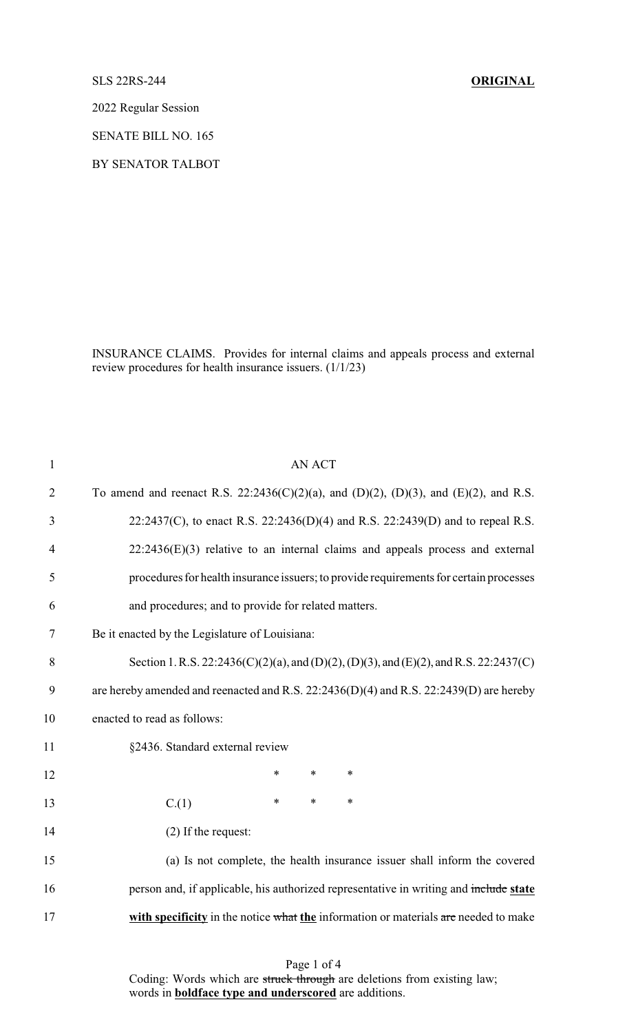SLS 22RS-244 **ORIGINAL**

2022 Regular Session

SENATE BILL NO. 165

BY SENATOR TALBOT

INSURANCE CLAIMS. Provides for internal claims and appeals process and external review procedures for health insurance issuers. (1/1/23)

| $\mathbf{1}$   | <b>AN ACT</b>                                                                          |
|----------------|----------------------------------------------------------------------------------------|
| $\overline{2}$ | To amend and reenact R.S. 22:2436(C)(2)(a), and (D)(2), (D)(3), and (E)(2), and R.S.   |
| 3              | 22:2437(C), to enact R.S. 22:2436(D)(4) and R.S. 22:2439(D) and to repeal R.S.         |
| 4              | $22:2436(E)(3)$ relative to an internal claims and appeals process and external        |
| 5              | procedures for health insurance issuers; to provide requirements for certain processes |
| 6              | and procedures; and to provide for related matters.                                    |
| 7              | Be it enacted by the Legislature of Louisiana:                                         |
| 8              | Section 1. R.S. 22:2436(C)(2)(a), and (D)(2), (D)(3), and (E)(2), and R.S. 22:2437(C)  |
| 9              | are hereby amended and reenacted and R.S. 22:2436(D)(4) and R.S. 22:2439(D) are hereby |
| 10             | enacted to read as follows:                                                            |
| 11             | §2436. Standard external review                                                        |
| 12             | $\ast$<br>$\ast$<br>$\ast$                                                             |
| 13             | $\ast$<br>$\ast$<br>$\ast$<br>C.(1)                                                    |
| 14             | (2) If the request:                                                                    |
| 15             | (a) Is not complete, the health insurance issuer shall inform the covered              |
| 16             | person and, if applicable, his authorized representative in writing and include state  |
| 17             | with specificity in the notice what the information or materials are needed to make    |
|                |                                                                                        |

Page 1 of 4 Coding: Words which are struck through are deletions from existing law; words in **boldface type and underscored** are additions.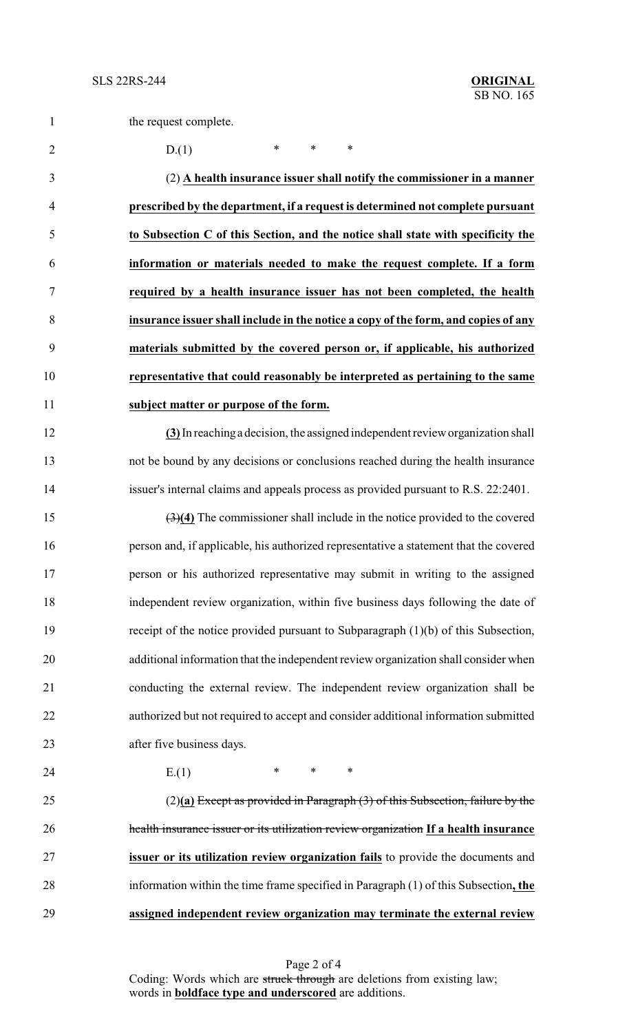|  | the request complete. |  |
|--|-----------------------|--|
|--|-----------------------|--|

2 D.(1) \* \* \*

 (2) **A health insurance issuer shall notify the commissioner in a manner prescribed by the department, if a request is determined not complete pursuant to Subsection C of this Section, and the notice shall state with specificity the information or materials needed to make the request complete. If a form required by a health insurance issuer has not been completed, the health insurance issuer shall include in the notice a copy of the form, and copies of any materials submitted by the covered person or, if applicable, his authorized representative that could reasonably be interpreted as pertaining to the same subject matter or purpose of the form.**

 **(3)**In reachinga decision, the assigned independent review organization shall not be bound by any decisions or conclusions reached during the health insurance issuer's internal claims and appeals process as provided pursuant to R.S. 22:2401.

 (3)**(4)** The commissioner shall include in the notice provided to the covered person and, if applicable, his authorized representative a statement that the covered person or his authorized representative may submit in writing to the assigned independent review organization, within five business days following the date of receipt of the notice provided pursuant to Subparagraph (1)(b) of this Subsection, additional information that the independent review organization shall consider when conducting the external review. The independent review organization shall be authorized but not required to accept and consider additional information submitted after five business days.

24 E.(1) \* \* \*

 (2)**(a)** Except as provided in Paragraph (3) of this Subsection, failure by the health insurance issuer or its utilization review organization **If a health insurance issuer or its utilization review organization fails** to provide the documents and information within the time frame specified in Paragraph (1) of this Subsection**, the assigned independent review organization may terminate the external review**

> Page 2 of 4 Coding: Words which are struck through are deletions from existing law; words in **boldface type and underscored** are additions.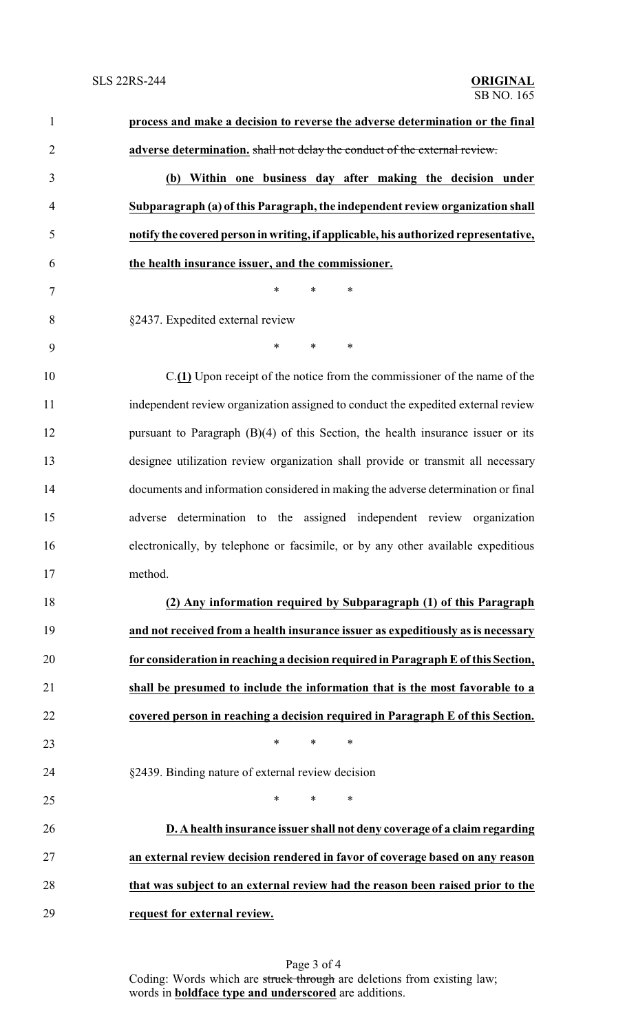| $\mathbf{1}$   | process and make a decision to reverse the adverse determination or the final          |
|----------------|----------------------------------------------------------------------------------------|
| $\overline{2}$ | adverse determination. shall not delay the conduct of the external review.             |
| 3              | (b) Within one business day after making the decision under                            |
| $\overline{4}$ | Subparagraph (a) of this Paragraph, the independent review organization shall          |
| 5              | notify the covered person in writing, if applicable, his authorized representative,    |
| 6              | the health insurance issuer, and the commissioner.                                     |
| $\tau$         | *<br>*<br>∗                                                                            |
| 8              | §2437. Expedited external review                                                       |
| 9              | $\ast$<br>$\ast$<br>$\ast$                                                             |
| 10             | $C(\underline{1})$ Upon receipt of the notice from the commissioner of the name of the |
| 11             | independent review organization assigned to conduct the expedited external review      |
| 12             | pursuant to Paragraph $(B)(4)$ of this Section, the health insurance issuer or its     |
| 13             | designee utilization review organization shall provide or transmit all necessary       |
| 14             | documents and information considered in making the adverse determination or final      |
| 15             | adverse determination to the assigned independent review organization                  |
| 16             | electronically, by telephone or facsimile, or by any other available expeditious       |
| 17             | method.                                                                                |
| 18             | (2) Any information required by Subparagraph (1) of this Paragraph                     |
| 19             | and not received from a health insurance issuer as expeditiously as is necessary       |
| 20             | for consideration in reaching a decision required in Paragraph E of this Section,      |
| 21             | shall be presumed to include the information that is the most favorable to a           |
| 22             | covered person in reaching a decision required in Paragraph E of this Section.         |
| 23             | *<br>$\ast$<br>$\ast$                                                                  |
| 24             | §2439. Binding nature of external review decision                                      |
| 25             | *<br>$\ast$<br>$\ast$                                                                  |
| 26             | D. A health insurance issuer shall not deny coverage of a claim regarding              |
| 27             | an external review decision rendered in favor of coverage based on any reason          |
| 28             | that was subject to an external review had the reason been raised prior to the         |
| 29             | request for external review.                                                           |